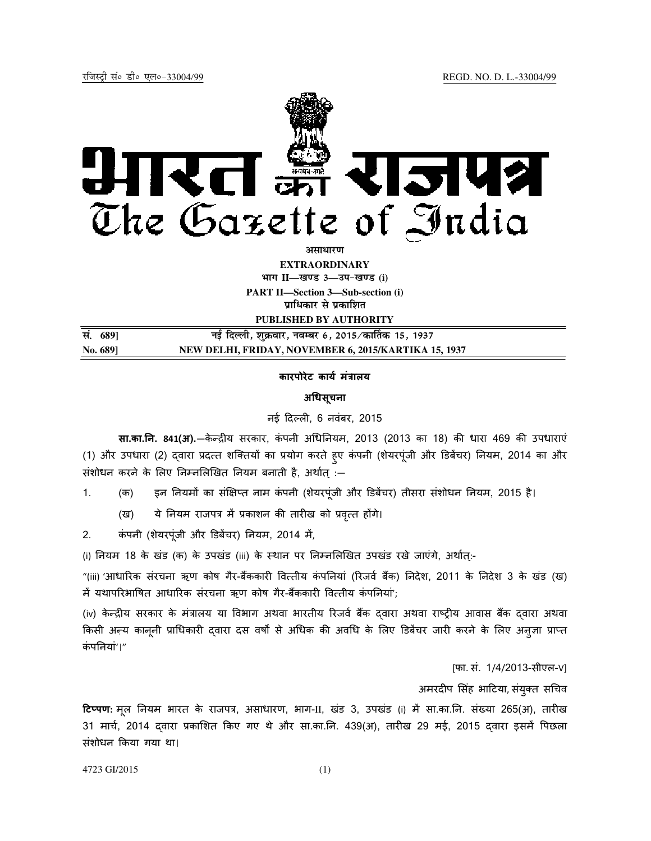

<u>असाधारण</u> **EXTRAORDINARY**  $\lim_{x \to \infty} \frac{1}{x}$  **III**——<br> **Example 2** and **i**  $\lim_{x \to \infty} \frac{1}{x}$ **PART II—Section 3—Sub-section (i)** 

**प्राधिकार से प्रकाशित** 

**PUBLISHED BY AUTHORITY**

| सं. 689] | नई दिल्ली, शुक्रवार, नवम्बर 6, 2015 ⁄ कार्तिक 15, 1937 |
|----------|--------------------------------------------------------|
| No. 689] | NEW DELHI, FRIDAY, NOVEMBER 6, 2015/KARTIKA 15, 1937   |

# कारपोरेट कार्य मंत्रालय

# अधिसूचना

#### नई दिल्ली, 6 नवंबर, 2015

सा.का.नि. 841(अ).—केन्द्रीय सरकार, कंपनी अधिनियम, 2013 (2013 का 18) की धारा 469 की उपधाराएं (1) और उपधारा (2) दवारा प्रदत्त शक्तियों का प्रयोग करते हुए कंपनी (शेयरपूंजी और डिबेंचर) नियम, 2014 का और संशोधन करने के लिए निम्नलिखित नियम बनाती है, अर्थात् :—

- 1. (क) इन नियमों का संक्षिप्त नाम कंपनी (शेयरपूंजी और डिबेंचर) तीसरा संशोधन नियम, 2015 है।
	- (ख) ये नियम राजपत्र में प्रकाशन की तारीख को प्रवृत्त होंगे।
- 2. कंपनी (शेयरपूंजी और डिबेंचर) नियम, 2014 में,

(i) नियम 18 के खंड (क) के उपखंड (iii) के स्थान पर निम्नलिखित उपखंड रखे जाएंगे, अर्थात्:-

"(iii) 'आधारिक संरचना ऋण कोष गैर-बैंककारी वित्तीय कंपनियां (रिजर्व बैंक) निदेश, 2011 के निदेश 3 के खंड (ख) में यथापरिभाषित आधारिक संरचना ऋण कोष गैर-बैंककारी वित्तीय कंपनियां';

(iv) केन्द्रीय सरकार के मंत्रालय या विभाग अथवा भारतीय रिजर्व बैंक दवारा अथवा राष्ट्रीय आवास बैंक दवारा अथवा किसी अन्य कानूनी प्राधिकारी द्वारा दस वर्षों से अधिक की अवधि के लिए डिबेंचर जारी करने के लिए अनुज्ञा प्राप्त कंपनियां'।"

[फा. सं. 1/4/2013-सीएल-V]

अमरदीप सिंह भाटिया, संयुक्त सचिव

टिप्पण: मूल नियम भारत के राजपत्र, असाधारण, भाग-II, खंड 3, उपखंड (i) में सा.का.नि. संख्या 265(अ), तारीख 31 मार्च, 2014 दवारा प्रकाशित किए गए थे और सा.का.नि. 439(अ), तारीख 29 मई, 2015 दवारा इसमें पिछला संशोधन Yकया गया था।

4723 GI/2015 (1)